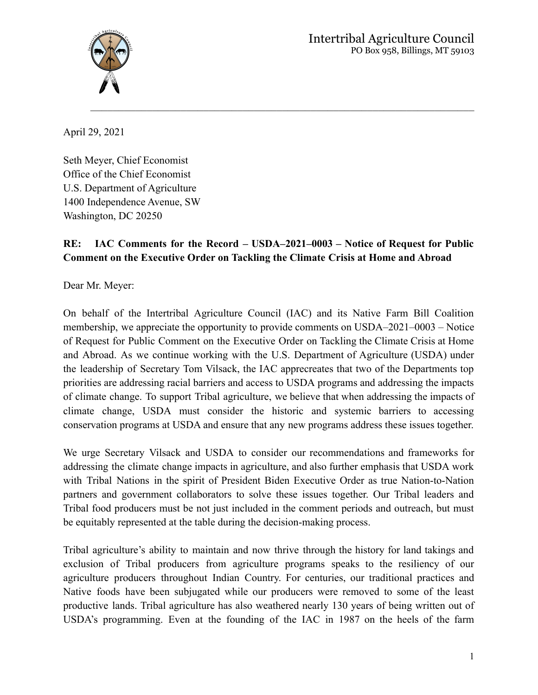

April 29, 2021

Seth Meyer, Chief Economist Office of the Chief Economist U.S. Department of Agriculture 1400 Independence Avenue, SW Washington, DC 20250

## **RE: IAC Comments for the Record – USDA–2021–0003 – Notice of Request for Public Comment on the Executive Order on Tackling the Climate Crisis at Home and Abroad**

 $\_$  ,  $\_$  ,  $\_$  ,  $\_$  ,  $\_$  ,  $\_$  ,  $\_$  ,  $\_$  ,  $\_$  ,  $\_$  ,  $\_$  ,  $\_$  ,  $\_$  ,  $\_$  ,  $\_$  ,  $\_$  ,  $\_$  ,  $\_$  ,  $\_$ 

Dear Mr. Meyer:

On behalf of the Intertribal Agriculture Council (IAC) and its Native Farm Bill Coalition membership, we appreciate the opportunity to provide comments on USDA–2021–0003 – Notice of Request for Public Comment on the Executive Order on Tackling the Climate Crisis at Home and Abroad. As we continue working with the U.S. Department of Agriculture (USDA) under the leadership of Secretary Tom Vilsack, the IAC apprecreates that two of the Departments top priorities are addressing racial barriers and access to USDA programs and addressing the impacts of climate change. To support Tribal agriculture, we believe that when addressing the impacts of climate change, USDA must consider the historic and systemic barriers to accessing conservation programs at USDA and ensure that any new programs address these issues together.

We urge Secretary Vilsack and USDA to consider our recommendations and frameworks for addressing the climate change impacts in agriculture, and also further emphasis that USDA work with Tribal Nations in the spirit of President Biden Executive Order as true Nation-to-Nation partners and government collaborators to solve these issues together. Our Tribal leaders and Tribal food producers must be not just included in the comment periods and outreach, but must be equitably represented at the table during the decision-making process.

Tribal agriculture's ability to maintain and now thrive through the history for land takings and exclusion of Tribal producers from agriculture programs speaks to the resiliency of our agriculture producers throughout Indian Country. For centuries, our traditional practices and Native foods have been subjugated while our producers were removed to some of the least productive lands. Tribal agriculture has also weathered nearly 130 years of being written out of USDA's programming. Even at the founding of the IAC in 1987 on the heels of the farm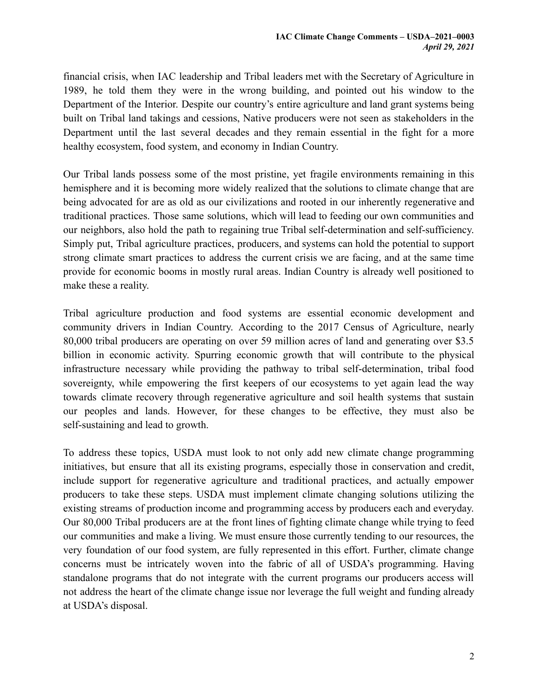financial crisis, when IAC leadership and Tribal leaders met with the Secretary of Agriculture in 1989, he told them they were in the wrong building, and pointed out his window to the Department of the Interior. Despite our country's entire agriculture and land grant systems being built on Tribal land takings and cessions, Native producers were not seen as stakeholders in the Department until the last several decades and they remain essential in the fight for a more healthy ecosystem, food system, and economy in Indian Country.

Our Tribal lands possess some of the most pristine, yet fragile environments remaining in this hemisphere and it is becoming more widely realized that the solutions to climate change that are being advocated for are as old as our civilizations and rooted in our inherently regenerative and traditional practices. Those same solutions, which will lead to feeding our own communities and our neighbors, also hold the path to regaining true Tribal self-determination and self-sufficiency. Simply put, Tribal agriculture practices, producers, and systems can hold the potential to support strong climate smart practices to address the current crisis we are facing, and at the same time provide for economic booms in mostly rural areas. Indian Country is already well positioned to make these a reality.

Tribal agriculture production and food systems are essential economic development and community drivers in Indian Country. According to the 2017 Census of Agriculture, nearly 80,000 tribal producers are operating on over 59 million acres of land and generating over \$3.5 billion in economic activity. Spurring economic growth that will contribute to the physical infrastructure necessary while providing the pathway to tribal self-determination, tribal food sovereignty, while empowering the first keepers of our ecosystems to yet again lead the way towards climate recovery through regenerative agriculture and soil health systems that sustain our peoples and lands. However, for these changes to be effective, they must also be self-sustaining and lead to growth.

To address these topics, USDA must look to not only add new climate change programming initiatives, but ensure that all its existing programs, especially those in conservation and credit, include support for regenerative agriculture and traditional practices, and actually empower producers to take these steps. USDA must implement climate changing solutions utilizing the existing streams of production income and programming access by producers each and everyday. Our 80,000 Tribal producers are at the front lines of fighting climate change while trying to feed our communities and make a living. We must ensure those currently tending to our resources, the very foundation of our food system, are fully represented in this effort. Further, climate change concerns must be intricately woven into the fabric of all of USDA's programming. Having standalone programs that do not integrate with the current programs our producers access will not address the heart of the climate change issue nor leverage the full weight and funding already at USDA's disposal.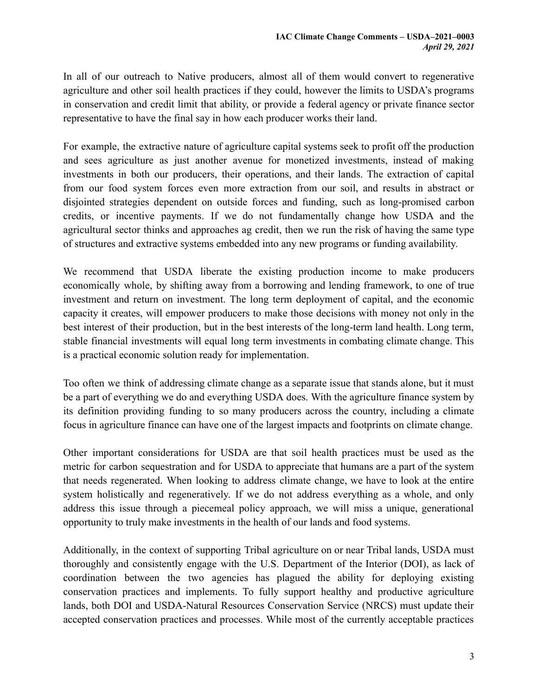In all of our outreach to Native producers, almost all of them would convert to regenerative agriculture and other soil health practices if they could, however the limits to USDA's programs in conservation and credit limit that ability, or provide a federal agency or private finance sector representative to have the final say in how each producer works their land.

For example, the extractive nature of agriculture capital systems seek to profit off the production and sees agriculture as just another avenue for monetized investments, instead of making investments in both our producers, their operations, and their lands. The extraction of capital from our food system forces even more extraction from our soil, and results in abstract or disjointed strategies dependent on outside forces and funding, such as long-promised carbon credits, or incentive payments. If we do not fundamentally change how USDA and the agricultural sector thinks and approaches ag credit, then we run the risk of having the same type of structures and extractive systems embedded into any new programs or funding availability.

We recommend that USDA liberate the existing production income to make producers economically whole, by shifting away from a borrowing and lending framework, to one of true investment and return on investment. The long term deployment of capital, and the economic capacity it creates, will empower producers to make those decisions with money not only in the best interest of their production, but in the best interests of the long-term land health. Long term, stable financial investments will equal long term investments in combating climate change. This is a practical economic solution ready for implementation.

Too often we think of addressing climate change as a separate issue that stands alone, but it must be a part of everything we do and everything USDA does. With the agriculture finance system by its definition providing funding to so many producers across the country, including a climate focus in agriculture finance can have one of the largest impacts and footprints on climate change.

Other important considerations for USDA are that soil health practices must be used as the metric for carbon sequestration and for USDA to appreciate that humans are a part of the system that needs regenerated. When looking to address climate change, we have to look at the entire system holistically and regeneratively. If we do not address everything as a whole, and only address this issue through a piecemeal policy approach, we will miss a unique, generational opportunity to truly make investments in the health of our lands and food systems.

Additionally, in the context of supporting Tribal agriculture on or near Tribal lands, USDA must thoroughly and consistently engage with the U.S. Department of the Interior (DOI), as lack of coordination between the two agencies has plagued the ability for deploying existing conservation practices and implements. To fully support healthy and productive agriculture lands, both DOI and USDA-Natural Resources Conservation Service (NRCS) must update their accepted conservation practices and processes. While most of the currently acceptable practices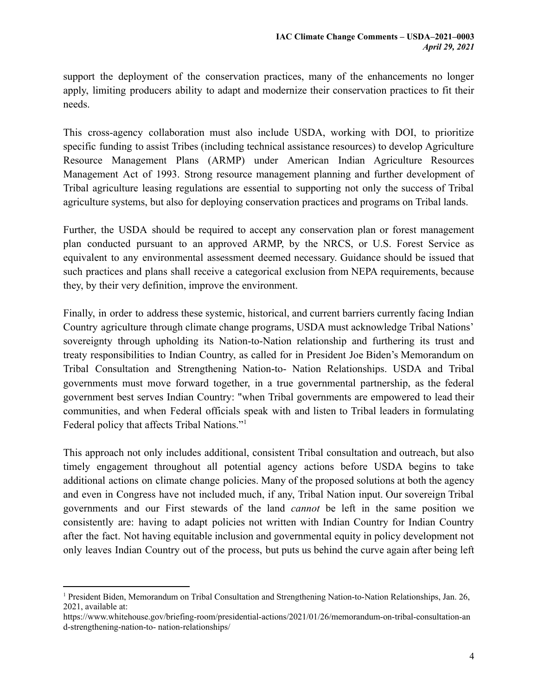support the deployment of the conservation practices, many of the enhancements no longer apply, limiting producers ability to adapt and modernize their conservation practices to fit their needs.

This cross-agency collaboration must also include USDA, working with DOI, to prioritize specific funding to assist Tribes (including technical assistance resources) to develop Agriculture Resource Management Plans (ARMP) under American Indian Agriculture Resources Management Act of 1993. Strong resource management planning and further development of Tribal agriculture leasing regulations are essential to supporting not only the success of Tribal agriculture systems, but also for deploying conservation practices and programs on Tribal lands.

Further, the USDA should be required to accept any conservation plan or forest management plan conducted pursuant to an approved ARMP, by the NRCS, or U.S. Forest Service as equivalent to any environmental assessment deemed necessary. Guidance should be issued that such practices and plans shall receive a categorical exclusion from NEPA requirements, because they, by their very definition, improve the environment.

Finally, in order to address these systemic, historical, and current barriers currently facing Indian Country agriculture through climate change programs, USDA must acknowledge Tribal Nations' sovereignty through upholding its Nation-to-Nation relationship and furthering its trust and treaty responsibilities to Indian Country, as called for in President Joe Biden's Memorandum on Tribal Consultation and Strengthening Nation-to- Nation Relationships. USDA and Tribal governments must move forward together, in a true governmental partnership, as the federal government best serves Indian Country: "when Tribal governments are empowered to lead their communities, and when Federal officials speak with and listen to Tribal leaders in formulating Federal policy that affects Tribal Nations."<sup>1</sup>

This approach not only includes additional, consistent Tribal consultation and outreach, but also timely engagement throughout all potential agency actions before USDA begins to take additional actions on climate change policies. Many of the proposed solutions at both the agency and even in Congress have not included much, if any, Tribal Nation input. Our sovereign Tribal governments and our First stewards of the land *cannot* be left in the same position we consistently are: having to adapt policies not written with Indian Country for Indian Country after the fact. Not having equitable inclusion and governmental equity in policy development not only leaves Indian Country out of the process, but puts us behind the curve again after being left

<sup>1</sup> President Biden, Memorandum on Tribal Consultation and Strengthening Nation-to-Nation Relationships, Jan. 26, 2021, available at:

https://www.whitehouse.gov/briefing-room/presidential-actions/2021/01/26/memorandum-on-tribal-consultation-an d-strengthening-nation-to- nation-relationships/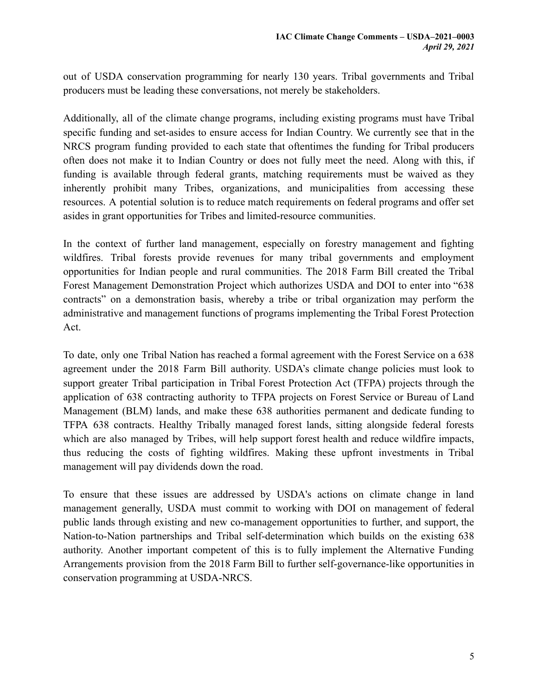out of USDA conservation programming for nearly 130 years. Tribal governments and Tribal producers must be leading these conversations, not merely be stakeholders.

Additionally, all of the climate change programs, including existing programs must have Tribal specific funding and set-asides to ensure access for Indian Country. We currently see that in the NRCS program funding provided to each state that oftentimes the funding for Tribal producers often does not make it to Indian Country or does not fully meet the need. Along with this, if funding is available through federal grants, matching requirements must be waived as they inherently prohibit many Tribes, organizations, and municipalities from accessing these resources. A potential solution is to reduce match requirements on federal programs and offer set asides in grant opportunities for Tribes and limited-resource communities.

In the context of further land management, especially on forestry management and fighting wildfires. Tribal forests provide revenues for many tribal governments and employment opportunities for Indian people and rural communities. The 2018 Farm Bill created the Tribal Forest Management Demonstration Project which authorizes USDA and DOI to enter into "638 contracts" on a demonstration basis, whereby a tribe or tribal organization may perform the administrative and management functions of programs implementing the Tribal Forest Protection Act.

To date, only one Tribal Nation has reached a formal agreement with the Forest Service on a 638 agreement under the 2018 Farm Bill authority. USDA's climate change policies must look to support greater Tribal participation in Tribal Forest Protection Act (TFPA) projects through the application of 638 contracting authority to TFPA projects on Forest Service or Bureau of Land Management (BLM) lands, and make these 638 authorities permanent and dedicate funding to TFPA 638 contracts. Healthy Tribally managed forest lands, sitting alongside federal forests which are also managed by Tribes, will help support forest health and reduce wildfire impacts, thus reducing the costs of fighting wildfires. Making these upfront investments in Tribal management will pay dividends down the road.

To ensure that these issues are addressed by USDA's actions on climate change in land management generally, USDA must commit to working with DOI on management of federal public lands through existing and new co-management opportunities to further, and support, the Nation-to-Nation partnerships and Tribal self-determination which builds on the existing 638 authority. Another important competent of this is to fully implement the Alternative Funding Arrangements provision from the 2018 Farm Bill to further self-governance-like opportunities in conservation programming at USDA-NRCS.